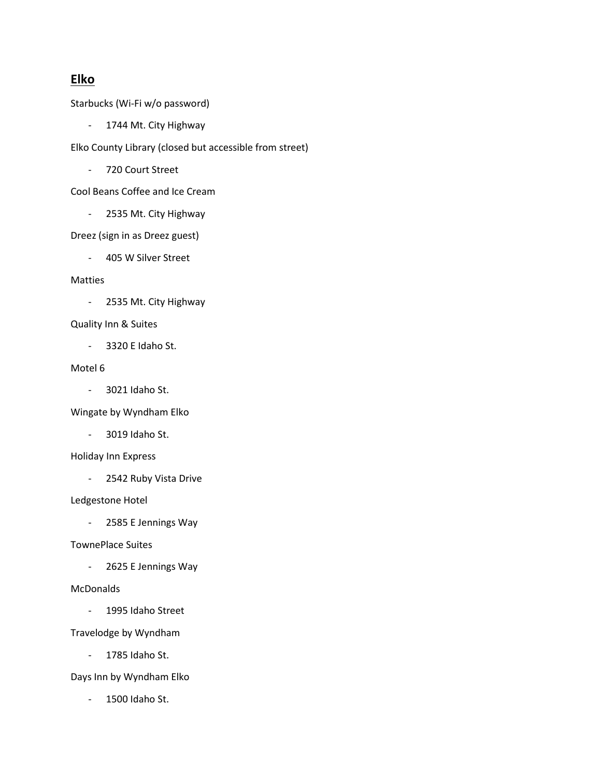# Elko

Starbucks (Wi-Fi w/o password)

- 1744 Mt. City Highway

Elko County Library (closed but accessible from street)

- 720 Court Street

Cool Beans Coffee and Ice Cream

- 2535 Mt. City Highway

Dreez (sign in as Dreez guest)

- 405 W Silver Street

## Matties

- 2535 Mt. City Highway

## Quality Inn & Suites

- 3320 E Idaho St.

## Motel 6

- 3021 Idaho St.

Wingate by Wyndham Elko

- 3019 Idaho St.

## Holiday Inn Express

- 2542 Ruby Vista Drive

## Ledgestone Hotel

- 2585 E Jennings Way

## TownePlace Suites

- 2625 E Jennings Way

## **McDonalds**

- 1995 Idaho Street

Travelodge by Wyndham

- 1785 Idaho St.

Days Inn by Wyndham Elko

- 1500 Idaho St.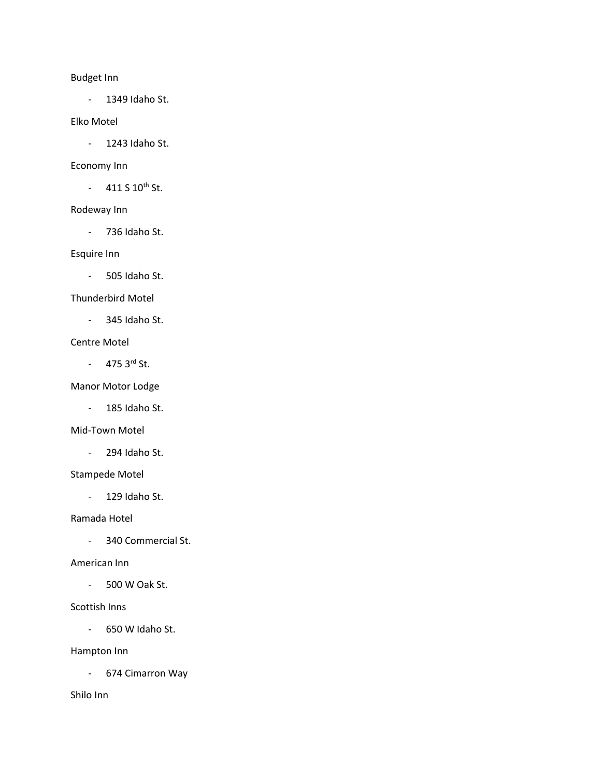# Budget Inn

- 1349 Idaho St.

## Elko Motel

- 1243 Idaho St.

#### Economy Inn

 $-411 S 10^{th}$  St.

#### Rodeway Inn

- 736 Idaho St.

## Esquire Inn

- 505 Idaho St.

#### Thunderbird Motel

- 345 Idaho St.

#### Centre Motel

 $- 475$  3rd St.

## Manor Motor Lodge

- 185 Idaho St.

#### Mid-Town Motel

- 294 Idaho St.

#### Stampede Motel

- 129 Idaho St.

#### Ramada Hotel

- 340 Commercial St.

## American Inn

- 500 W Oak St.

#### Scottish Inns

- 650 W Idaho St.

## Hampton Inn

- 674 Cimarron Way

## Shilo Inn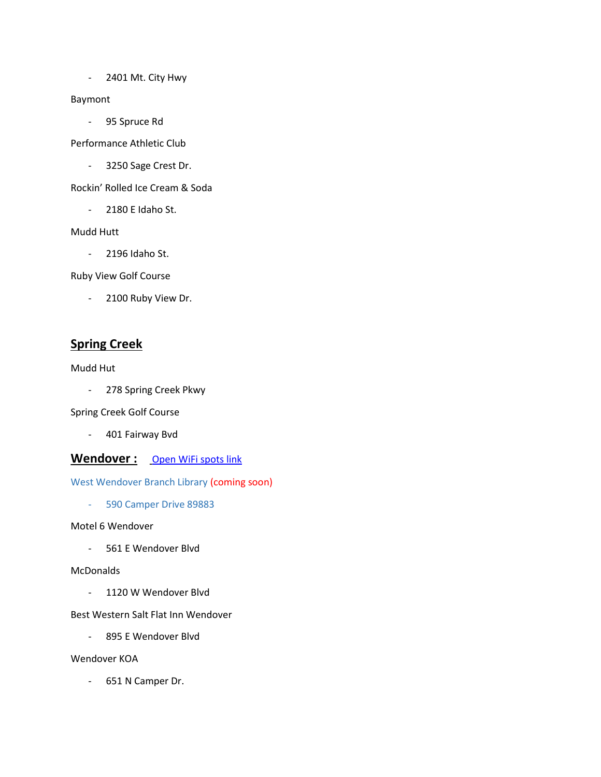- 2401 Mt. City Hwy

## Baymont

- 95 Spruce Rd

Performance Athletic Club

- 3250 Sage Crest Dr.

Rockin' Rolled Ice Cream & Soda

- 2180 E Idaho St.

## Mudd Hutt

- 2196 Idaho St.

Ruby View Golf Course

- 2100 Ruby View Dr.

# Spring Creek

## Mudd Hut

- 278 Spring Creek Pkwy

Spring Creek Golf Course

- 401 Fairway Bvd

## Wendover : Open WiFi spots link

West Wendover Branch Library (coming soon)

- 590 Camper Drive 89883

## Motel 6 Wendover

- 561 E Wendover Blvd

## **McDonalds**

- 1120 W Wendover Blvd

## Best Western Salt Flat Inn Wendover

- 895 E Wendover Blvd

## Wendover KOA

- 651 N Camper Dr.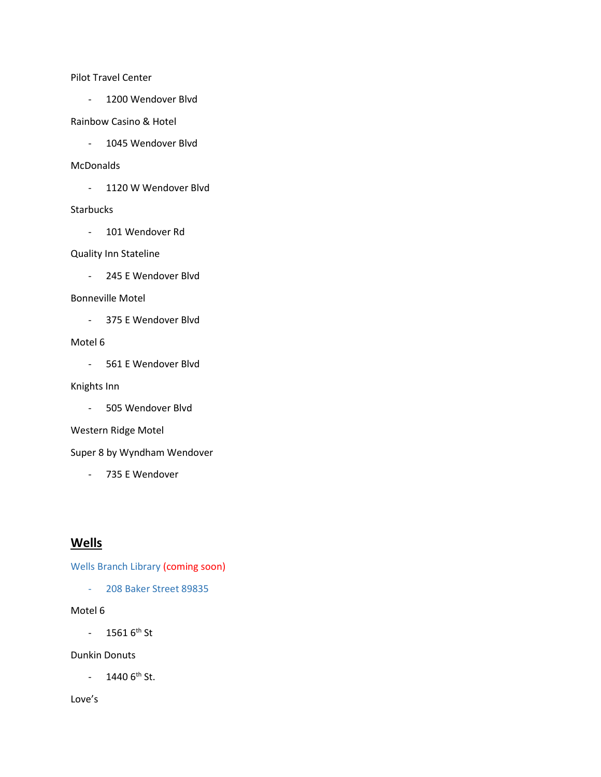Pilot Travel Center

- 1200 Wendover Blvd

#### Rainbow Casino & Hotel

- 1045 Wendover Blvd

#### McDonalds

- 1120 W Wendover Blvd

#### **Starbucks**

- 101 Wendover Rd

#### Quality Inn Stateline

- 245 E Wendover Blvd

#### Bonneville Motel

- 375 E Wendover Blvd

#### Motel 6

- 561 E Wendover Blvd

#### Knights Inn

- 505 Wendover Blvd

#### Western Ridge Motel

Super 8 by Wyndham Wendover

- 735 E Wendover

# **Wells**

Wells Branch Library (coming soon)

- 208 Baker Street 89835

# Motel 6

 $- 15616^{th}$  St

## Dunkin Donuts

 $- 14406$ <sup>th</sup> St.

#### Love's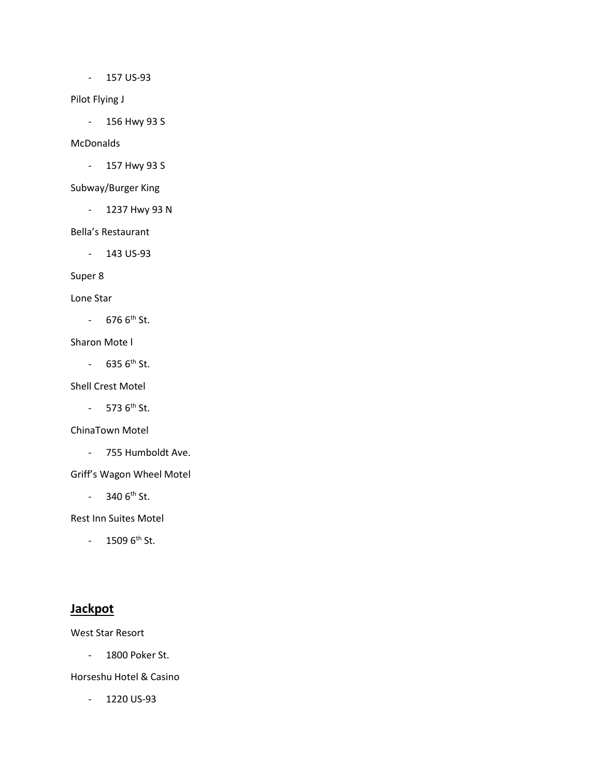- 157 US-93

#### Pilot Flying J

- 156 Hwy 93 S

## McDonalds

- 157 Hwy 93 S

## Subway/Burger King

- 1237 Hwy 93 N

#### Bella's Restaurant

- 143 US-93

# Super 8

#### Lone Star

 $- 6766$ <sup>th</sup> St.

### Sharon Mote l

 $- 6356$ <sup>th</sup> St.

# Shell Crest Motel

 $-$  573  $6^{th}$  St.

## ChinaTown Motel

- 755 Humboldt Ave.

## Griff's Wagon Wheel Motel

 $- 3406$ <sup>th</sup> St.

Rest Inn Suites Motel

 $- 15096$ <sup>th</sup> St.

# **Jackpot**

West Star Resort

- 1800 Poker St.

## Horseshu Hotel & Casino

- 1220 US-93